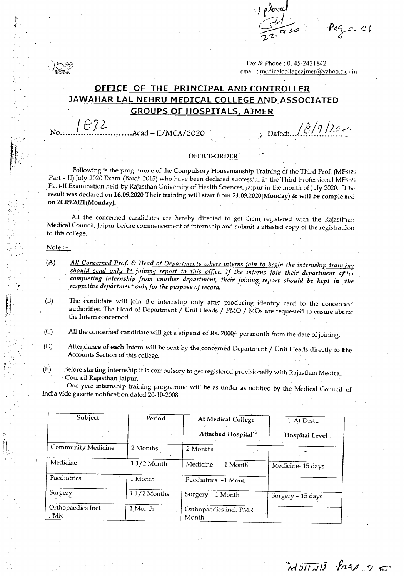$c$  c/

Fax & Phone: 0145-2431842 email: medicalcollegeaimer@vahoo.co.in

### **OFFICE OF THE PRINCIPAL AND CONTROLLER JAWAHAR LAL NEHRU MEDICAL COLLEGE AND ASSOCIATED GROUPS OF HOSPITALS, AJMER**

!<br>!..!  $1632$ 

No \_. Acad - *II/MCA/2020* / 8/9 *)2C;·~·* \_;~Dated: : \_ ., .

 $\overline{M311111}$   $\overline{P}$   $\overline{Q}$   $\overline{Q}$ 

#### *l~o;* OFFICE-ORDER

Following is the programme of the Compulsory Housemanship Training of the Third Prof. (MBBS Part - II) July 2020 Exam (Batch-2015) who have been declared successful in the Third Professional MBBS Part-II Examination held by Rajasthan University of Health Sciences, Jaipur in the month of July 2020. I he result was declared on 16.09.2020 Their training will start from 21.09.2020(Monday) & will be completed on 20.09.2021(Monday).

All the concerned candidates are hereby directed to get them registered with the Rajasthan Medical Council, Jaipur before commencement of internship and submit a attested copy of the registrat ion to this college.

#### Note: -

 $\mathbb{H}^+$ <sup>r</sup>'- . !<br>:

".. ".  $\mathfrak{p}$  .

!|<br>! :1'

- (A) *All Concerned Prot* & *Head of Departments where interns join to begin the internship train illg should send only 1st joining report to this office. If the interns join their department aria completing internship/rom another department, their joinin& report should be kept in the respective department only for the purpose of record.. . ,-*
- (B) The candidate will join the internship only after producing identity card to the concerned authorities. The Head of Department / Unit Heads / PMO / MOs are requested to ensure about the Intern concerned. .

(C) All the concerned candidate will get a stipend of Rs. 7000/- per month from the date of joining.

- (D) Attendance of each Intern will be sent by the concerned Department / Unit Heads directly to the Accounts Section of this college.
- (E) Before starting internship it is compulsory to get registered provisionally with Rajasthan Medical Council Rajasthan Jaipur. .

One year internship training programme will be as under as notified by the Medical Council of India vide gazette notification dated 20-10-2008. .

| Subject                          | Period       | <b>At Medical College</b>       | At Distt.             |  |
|----------------------------------|--------------|---------------------------------|-----------------------|--|
|                                  |              | Attached Hospital <sup>-2</sup> | <b>Hospital Level</b> |  |
| Community Medicine               | 2 Months     | 2 Months<br>V.                  |                       |  |
| Medicine                         | $11/2$ Month | Medicine - 1 Month              | Medicine-15 days      |  |
| Paediatrics                      | 1 Month      | Paediatrics -1 Month            |                       |  |
| Surgery                          | 11/2 Months  | Surgery - 1 Month               | Surgery - 15 days     |  |
| Orthopaedics Incl.<br><b>PMR</b> | 1 Month      | Orthopaedics incl. PMR<br>Month |                       |  |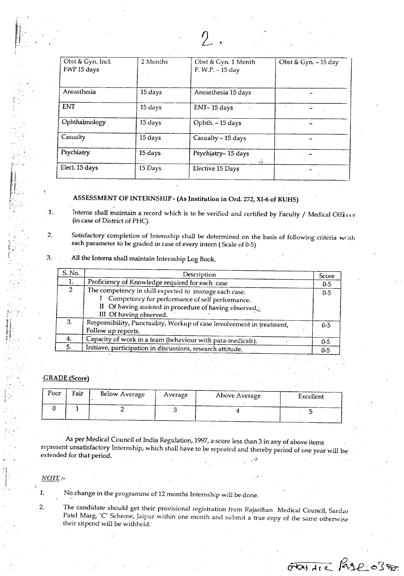| Obst & Gyn. Incl.<br>FWP 15 days | 2 Months | Obst & Gyn. 1 Month       | Obst & Gyn. - 15 day |
|----------------------------------|----------|---------------------------|----------------------|
|                                  |          | F. W.P. - 15 day          |                      |
| Aneasthesia                      | 15 days  | Aneasthesia 15 days       |                      |
| <b>ENT</b>                       | 15 days  | ENT-15 days               |                      |
| Ophthalmology                    | 15 days  | Ophth. - 15 days          |                      |
| Casualty                         | 15 days  | Casualty - 15 days        |                      |
| Psychiatry                       | 15 days  | Psychiatry-15 days<br>÷X. |                      |
| Elect. 15 days                   | 15 Days  | Elective 15 Days          |                      |

### ASSESSMENT OF INTERNSHIP - (As Institution in Ord, 272, XI-6 of RUHS)

1. Interns shall maintain a record which is to be verified and certified by Faculty / Medical Officer (in case of District of PHC).

2. Satisfactory completion of Internship shall be determined on the basis of following criteria with each parameter to be graded in case of every intern ( Scale of 0-5)

### 3. All the Interns shall maintain Internship Log Book.

| S. No.        | Description                                                           | Score   |
|---------------|-----------------------------------------------------------------------|---------|
| 1.            | Proficiency of Knowledge required for each case                       | $0 - 5$ |
| $\mathcal{D}$ | The competency in skill expected to manage each case.                 | $0 - 5$ |
|               | Competency for performance of self performance.                       |         |
|               | II Of having assisted in procedure of having observed.                |         |
|               | III Of having observed.                                               |         |
| 3.            | Responsibility, Punctuality, Workup of case Involvement in treatment, | $0 - 5$ |
|               | Follow up reports.                                                    |         |
| 4.1           | Capacity of work in a team (behaviour with para-medicals).            | $0 - 5$ |
| 5.            | Initiave, participation in discussions, research attitude.            | $0 - 5$ |

#### GRADE (Score)

| Poor | Fair | Below Average | Average | Above Average | Excellent |
|------|------|---------------|---------|---------------|-----------|
|      |      |               |         |               |           |

As per Medical Council of India Regulation, 1997, a score less than 3 in any of above items represent unsatisfactory Internship, which shall have to be repeated and thereby period of one year will be extended for that period.  $\blacksquare$ 

*NOTE :-*

1. No change in the programme of 12 months Internship will be done.

2. The candidate should get their provisional registration from Rajasthan Medical Council, Sardar Patel Marg, 'C' Scheme, Jaipur within one month and submit a true copy of the same otherwise their stipend will be withheld.

FOUND PASE OFFICE

 $\mathbf{r}$  :  $\mathbf{r}$  ,  $\mathbf{r}$ 

 $-1.$ 

'.  $\tilde{\epsilon}_-$ 

r.,1. rI' ..

;." ;<br>! i I I I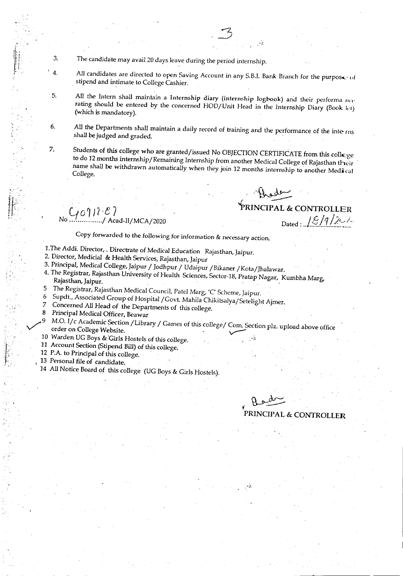- The candidate may avail 20 days leave during the period internship.
- $\overline{4}$ . All candidates are directed to open Saving Account in any S.B.I. Bank Branch for the purpose of stipend and intimate to College Cashier.
	- All the Intern shall maintain a Internship diary (internship logbook) and their performa nee rating should be entered by the concerned HOD/Unit Head in the Internship Diary (Book ht) (which is mandatory).
	- All the Departments shall maintain a daily record of training and the performance of the inteshall be judged and graded.
	- Students of this college who are granted/issued No OBJECTION CERTIFICATE from this coll€ge to do 12 months internship/Remaining Internship from another Medical College of Rajasthan their name shall be withdrawn automatically when they join 12 months internship to another Medical College.

 $C_1$ 0 $911 - E$ <br>  $C_2$  Acad-II/MCA/2020

3.

 $\cdot$  5.

6.

7.

Alede Dated:  $18/9/20$ 

Copy forwarded to the following for information & necessary action.

- 1. The Addi. Director, . Directrate of Medical Education Rajasthan, Jaipur.
- 2. Director, Medicial & Health Services, Rajasthan, Jaipur
- 3. Principal, Medical College, Jaipur / Jodhpur / Udaipur / Bikaner / Kota/Jhalawar.
- 4. The Registrar, Rajasthan University of Health Sciences, Sector-18, Pratap Nagar, Kumbha Marg, Rajasthan, Jaipur.  $5<sub>5</sub>$
- The Registrar, Rajasthan Medical Council, Patel Marg, 'C' Scheme, Jaipur. 6
- Supdt., Associated Group of Hospital / Govt. Mahila Chikitsalya/Setelight Ajmer.  $\overline{7}$
- Concerned All Head of the Departments of this college.
- 8 Principal Medical Officer, Beawar
- M.O. I/c Academic Section / Library / Games of this college/ Com. Section plz. upload above office order on College Website.
- 10 Warden UG Boys & Girls Hostels of this college.
- 11 Account Section (Stipend Bill) of this college.
- 12 P.A. to Principal of this college.
- 13 Personal file of candidate.
- 14 All Notice Board of this college (UG Boys & Girls Hostels).

PRINCIPAL & CONTROLLER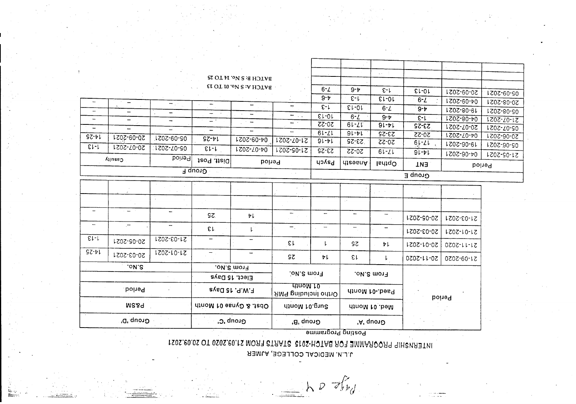$h \circ \mathcal{F}_{\nu}$ 

## **JILIN, MEDICAL COLLEGE, AJMER**

# ISOS. 20.02 OT 0SOS.20.1S MORT STAATS STOS-HOTAS AOT EMMAROORY SURVATIVI

|                          | <b>AlluseO</b>           | hoine <sup>q</sup> | izoq .ttai0            | <b>boited</b>             |                                 | Psych            |                          |            | <b>AnaenA</b> | lsdtqO         | <b>EN1</b> |  |
|--------------------------|--------------------------|--------------------|------------------------|---------------------------|---------------------------------|------------------|--------------------------|------------|---------------|----------------|------------|--|
| ∃ quoາວ_                 |                          |                    |                        |                           |                                 |                  | Group E                  |            |               |                |            |  |
|                          |                          |                    |                        |                           |                                 |                  |                          |            |               |                |            |  |
|                          |                          |                    |                        |                           |                                 |                  | $\sim$ $^{\prime}$       |            |               |                |            |  |
|                          | $\overline{\phantom{a}}$ |                    | SZ.                    | ÞΙ                        | -                               | $\hspace{0.5pt}$ | $\overline{\phantom{m}}$ |            | 20-05-2021    | 21-03-2021     |            |  |
| $\overline{\phantom{a}}$ | $\overline{a}$           |                    | EL                     | $\mathsf{L}^{\mathbb{Z}}$ | $-$ .                           |                  |                          |            | 20-03-2021    | 151-01-2021    |            |  |
| $E1-1$                   | 20-05-2021               | 21-03-2021         |                        |                           | εr                              | ŀ.               | SΖ                       | ヤレ         | 20-01-2021    | 0707-11-17     |            |  |
| $97 - 61$                | 20-03-2021               | $1707 - 10 - 17$   | —                      |                           | SΣ                              | ΨL               | εr                       | L          | 20-11-2020    | 21-09-2020     |            |  |
| ON S                     |                          |                    | From S.Mo.             |                           |                                 |                  |                          |            |               |                |            |  |
|                          |                          | Elect. 15 Days     |                        |                           | From S.Mo.                      |                  | From S.No.               |            |               |                |            |  |
|                          | Poined                   |                    | F.W.P. 15 Days         |                           | unom 10.<br>Ortho Including PMR |                  |                          |            |               | Paed.-01 Month |            |  |
|                          | <b>MSA9</b>              |                    | Obst. & Gynae 01 Month |                           | Surg.01 Month                   |                  | Med. 01 Month            |            | <b>boined</b> |                |            |  |
| Group 'D'                |                          |                    |                        | Group C.                  | Group 'B'                       |                  |                          | Group , y, |               |                |            |  |

|           | Group F    |            |                        |                                  |                      |              |               |                  | ---------  |                  |                  |
|-----------|------------|------------|------------------------|----------------------------------|----------------------|--------------|---------------|------------------|------------|------------------|------------------|
|           |            |            | $1e^{t}$ and $ 1e^{t}$ | Period                           |                      | <b>Haych</b> | <b>AnaemA</b> | $l$ sd $l$ q $O$ | <b>ENT</b> |                  | <b>Period</b>    |
|           | ່ Allues ໄ | boited     |                        |                                  |                      |              |               |                  | $91 - 11$  | LZ0Z-90-P0       | 21-05-2021       |
| $E1 - 1$  | 20-07-2021 | 05-01-2021 | $E1 - 1$               | 1202-20-40                       | 1205-50-12           | <b>SZ-22</b> | ZZ-0Z         | $61 - 21$        |            |                  | 1.707-90-90      |
|           |            | 6-08-5031  | $97 - 11$              | <b>04-09-2021</b>                | 1202-20-12           | $91 - 11$    | $53 - 52$     | $ZZ-0Z$          | $61 - 21$  | 19-06-2021       |                  |
| $97 - 61$ | 20-09-2021 |            |                        |                                  |                      | $61 - 21$    | $91 - 11$     | 53-52            | 70-22      | $120Z - 20 - 50$ | 20-06-2021       |
|           |            | $\equiv$   |                        |                                  |                      | $20 - 55$    | $61 - 21$     | 9!               | 53-25      | 70-07-2021       | LZ0Z-Z0-90       |
|           |            |            | — <u>.</u>             | $\overline{\phantom{a}}$         | $\ddot{\phantom{1}}$ | $E1-01$      | $6 - L$       | $9 - p$          | $E-L$      | $LZ0Z-80-p0$     | $1202 - 20 - 12$ |
|           |            |            |                        |                                  |                      |              |               | $6 - L$          | $9 - p$    | 19-08-2021       | 02-08-2021       |
|           |            | -          |                        | -                                |                      | ء-ء          | ≀ει-οι        |                  |            | 1202-60-70       | 20-08-2021       |
|           |            |            |                        |                                  |                      | $9 - p$      | E-1           | $E1-01$          | $6 - L$    |                  |                  |
|           |            |            |                        | <b>EL OT IO., ON S.A. HOT IS</b> |                      | $6 - L$      | $9 - p$       | $E-L$            | $E1-01$    | 20-09-2021       | 05-09-2021       |
|           |            |            |                        |                                  |                      |              |               |                  |            |                  |                  |
|           |            |            |                        | BATCH B: S No. 14 TO 25          |                      |              |               | Arrest Co.       |            |                  |                  |
|           |            |            |                        |                                  |                      |              |               |                  |            |                  |                  |